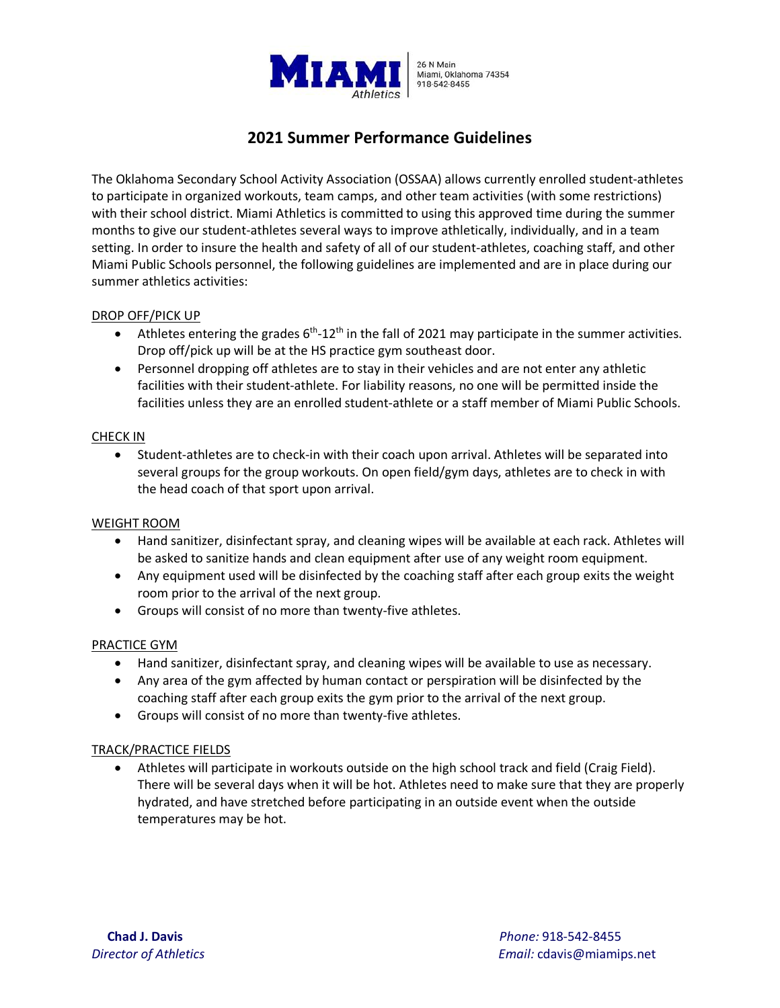

# **2021 Summer Performance Guidelines**

The Oklahoma Secondary School Activity Association (OSSAA) allows currently enrolled student-athletes to participate in organized workouts, team camps, and other team activities (with some restrictions) with their school district. Miami Athletics is committed to using this approved time during the summer months to give our student-athletes several ways to improve athletically, individually, and in a team setting. In order to insure the health and safety of all of our student-athletes, coaching staff, and other Miami Public Schools personnel, the following guidelines are implemented and are in place during our summer athletics activities:

### DROP OFF/PICK UP

- Athletes entering the grades 6<sup>th</sup>-12<sup>th</sup> in the fall of 2021 may participate in the summer activities. Drop off/pick up will be at the HS practice gym southeast door.
- Personnel dropping off athletes are to stay in their vehicles and are not enter any athletic facilities with their student-athlete. For liability reasons, no one will be permitted inside the facilities unless they are an enrolled student-athlete or a staff member of Miami Public Schools.

### CHECK IN

• Student-athletes are to check-in with their coach upon arrival. Athletes will be separated into several groups for the group workouts. On open field/gym days, athletes are to check in with the head coach of that sport upon arrival.

### WEIGHT ROOM

- Hand sanitizer, disinfectant spray, and cleaning wipes will be available at each rack. Athletes will be asked to sanitize hands and clean equipment after use of any weight room equipment.
- Any equipment used will be disinfected by the coaching staff after each group exits the weight room prior to the arrival of the next group.
- Groups will consist of no more than twenty-five athletes.

### PRACTICE GYM

- Hand sanitizer, disinfectant spray, and cleaning wipes will be available to use as necessary.
- Any area of the gym affected by human contact or perspiration will be disinfected by the coaching staff after each group exits the gym prior to the arrival of the next group.
- Groups will consist of no more than twenty-five athletes.

### TRACK/PRACTICE FIELDS

• Athletes will participate in workouts outside on the high school track and field (Craig Field). There will be several days when it will be hot. Athletes need to make sure that they are properly hydrated, and have stretched before participating in an outside event when the outside temperatures may be hot.